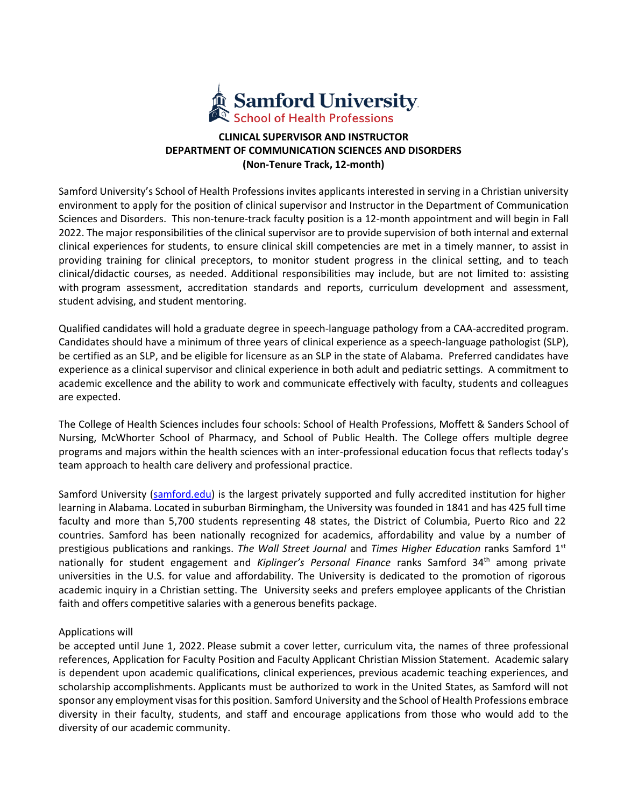

## **CLINICAL SUPERVISOR AND INSTRUCTOR DEPARTMENT OF COMMUNICATION SCIENCES AND DISORDERS (Non-Tenure Track, 12-month)**

Samford University's School of Health Professions invites applicants interested in serving in a Christian university environment to apply for the position of clinical supervisor and Instructor in the Department of Communication Sciences and Disorders. This non-tenure-track faculty position is a 12-month appointment and will begin in Fall 2022. The major responsibilities of the clinical supervisor are to provide supervision of both internal and external clinical experiences for students, to ensure clinical skill competencies are met in a timely manner, to assist in providing training for clinical preceptors, to monitor student progress in the clinical setting, and to teach clinical/didactic courses, as needed. Additional responsibilities may include, but are not limited to: assisting with program assessment, accreditation standards and reports, curriculum development and assessment, student advising, and student mentoring.

Qualified candidates will hold a graduate degree in speech-language pathology from a CAA-accredited program. Candidates should have a minimum of three years of clinical experience as a speech-language pathologist (SLP), be certified as an SLP, and be eligible for licensure as an SLP in the state of Alabama. Preferred candidates have experience as a clinical supervisor and clinical experience in both adult and pediatric settings. A commitment to academic excellence and the ability to work and communicate effectively with faculty, students and colleagues are expected.

The College of Health Sciences includes four schools: School of Health Professions, Moffett & Sanders School of Nursing, McWhorter School of Pharmacy, and School of Public Health. The College offers multiple degree programs and majors within the health sciences with an inter-professional education focus that reflects today's team approach to health care delivery and professional practice.

Samford University [\(samford.edu\)](https://www.samford.edu/) is the largest privately supported and fully accredited institution for higher learning in Alabama. Located in suburban Birmingham, the University was founded in 1841 and has 425 full time faculty and more than 5,700 students representing 48 states, the District of Columbia, Puerto Rico and 22 countries. Samford has been nationally recognized for academics, affordability and value by a number of prestigious publications and rankings. *The Wall Street Journal* and *Times Higher Education* ranks Samford 1st nationally for student engagement and *Kiplinger's Personal Finance* ranks Samford 34<sup>th</sup> among private universities in the U.S. for value and affordability. The University is dedicated to the promotion of rigorous academic inquiry in a Christian setting. The University seeks and prefers employee applicants of the Christian faith and offers competitive salaries with a generous benefits package.

## Applications will

be accepted until June 1, 2022. Please submit a cover letter, curriculum vita, the names of three professional references, Application for Faculty Position and Faculty Applicant Christian Mission Statement. Academic salary is dependent upon academic qualifications, clinical experiences, previous academic teaching experiences, and scholarship accomplishments. Applicants must be authorized to work in the United States, as Samford will not sponsor any employment visas for this position. Samford University and the School of Health Professions embrace diversity in their faculty, students, and staff and encourage applications from those who would add to the diversity of our academic community.